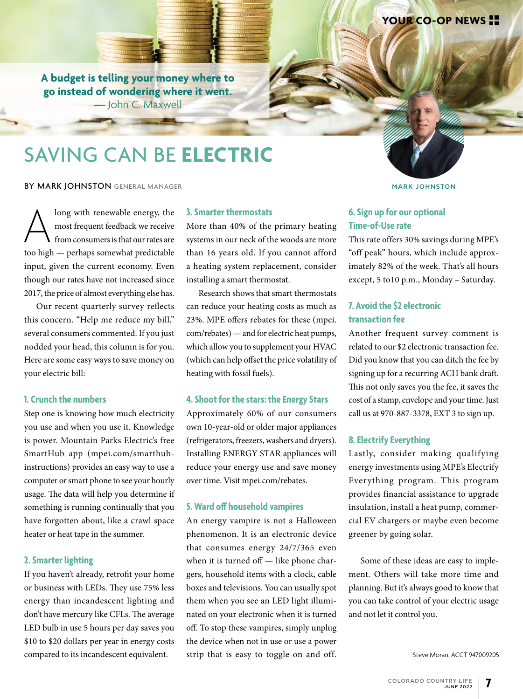**A budget is telling your money where to go instead of wondering where it went.**  — John C. Maxwell

## SAVING CAN BE **ELECTRIC**

#### BY MARK JOHNSTON GENERAL MANAGER MARK JOHNSTON MARK JOHNSTON

Along with renewable energy, the<br>
most frequent feedback we receive<br>
from consumers is that our rates are<br>
too high — perhaps somewhat predictable most frequent feedback we receive from consumers is that our rates are input, given the current economy. Even though our rates have not increased since 2017, the price of almost everything else has.

Our recent quarterly survey reflects this concern. "Help me reduce my bill," several consumers commented. If you just nodded your head, this column is for you. Here are some easy ways to save money on your electric bill:

#### **1. Crunch the numbers**

Step one is knowing how much electricity you use and when you use it. Knowledge is power. Mountain Parks Electric's free SmartHub app (mpei.com/smarthubinstructions) provides an easy way to use a computer or smart phone to see your hourly usage. The data will help you determine if something is running continually that you have forgotten about, like a crawl space heater or heat tape in the summer.

#### **2. Smarter lighting**

If you haven't already, retrofit your home or business with LEDs. They use 75% less energy than incandescent lighting and don't have mercury like CFLs. The average LED bulb in use 5 hours per day saves you \$10 to \$20 dollars per year in energy costs compared to its incandescent equivalent.

#### **3. Smarter thermostats**

More than 40% of the primary heating systems in our neck of the woods are more than 16 years old. If you cannot afford a heating system replacement, consider installing a smart thermostat.

Research shows that smart thermostats can reduce your heating costs as much as 23%. MPE offers rebates for these (mpei. com/rebates) — and for electric heat pumps, which allow you to supplement your HVAC (which can help offset the price volatility of heating with fossil fuels).

#### **4. Shoot for the stars: the Energy Stars**

Approximately 60% of our consumers own 10-year-old or older major appliances (refrigerators, freezers, washers and dryers). Installing ENERGY STAR appliances will reduce your energy use and save money over time. Visit mpei.com/rebates.

#### **5. Ward off household vampires**

An energy vampire is not a Halloween phenomenon. It is an electronic device that consumes energy 24/7/365 even when it is turned off — like phone chargers, household items with a clock, cable boxes and televisions. You can usually spot them when you see an LED light illuminated on your electronic when it is turned off. To stop these vampires, simply unplug the device when not in use or use a power strip that is easy to toggle on and off.

**YOUR CO-OP NEWS**

### **6. Sign up for our optional Time-of-Use rate**

This rate offers 30% savings during MPE's "off peak" hours, which include approximately 82% of the week. That's all hours except, 5 to10 p.m., Monday – Saturday.

#### **7. Avoid the \$2 electronic transaction fee**

Another frequent survey comment is related to our \$2 electronic transaction fee. Did you know that you can ditch the fee by signing up for a recurring ACH bank draft. This not only saves you the fee, it saves the cost of a stamp, envelope and your time. Just call us at 970-887-3378, EXT 3 to sign up.

#### **8. Electrify Everything**

Lastly, consider making qualifying energy investments using MPE's Electrify Everything program. This program provides financial assistance to upgrade insulation, install a heat pump, commercial EV chargers or maybe even become greener by going solar.

Some of these ideas are easy to implement. Others will take more time and planning. But it's always good to know that you can take control of your electric usage and not let it control you.

Steve Moran, ACCT 947009205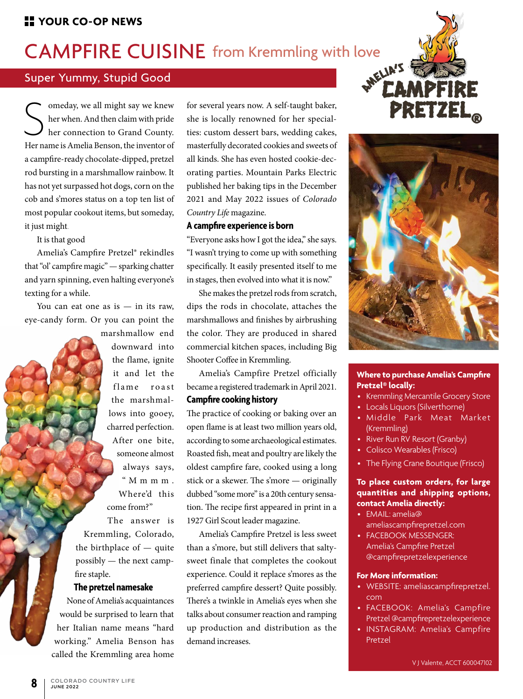# CAMPFIRE CUISINE from Kremmling with love

### Super Yummy, Stupid Good

Solution and the inspired we knew the vehender with pride<br>
her connection to Grand County.<br>
Her name is Amelia Benson, the inventor of omeday, we all might say we knew her when. And then claim with pride her connection to Grand County. a campfire-ready chocolate-dipped, pretzel rod bursting in a marshmallow rainbow. It has not yet surpassed hot dogs, corn on the cob and s'mores status on a top ten list of most popular cookout items, but someday, it just might.

It is that good

Amelia's Campfire Pretzel® rekindles that "ol' campfire magic" — sparking chatter and yarn spinning, even halting everyone's texting for a while.

You can eat one as is  $-$  in its raw, eye-candy form. Or you can point the

> marshmallow end downward into the flame, ignite it and let the flame roast the marshmallows into gooey, charred perfection. After one bite, someone almost always says, "  $M$  m m m  $\cdot$ Where'd this come from?" The answer is

Kremmling, Colorado, the birthplace of — quite possibly — the next campfire staple.

#### **The pretzel namesake**

None of Amelia's acquaintances would be surprised to learn that her Italian name means "hard working." Amelia Benson has called the Kremmling area home

for several years now. A self-taught baker, she is locally renowned for her specialties: custom dessert bars, wedding cakes, masterfully decorated cookies and sweets of all kinds. She has even hosted cookie-decorating parties. Mountain Parks Electric published her baking tips in the December 2021 and May 2022 issues of *Colorado Country Life* magazine.

#### **A campfire experience is born**

"Everyone asks how I got the idea," she says. "I wasn't trying to come up with something specifically. It easily presented itself to me in stages, then evolved into what it is now."

She makes the pretzel rods from scratch, dips the rods in chocolate, attaches the marshmallows and finishes by airbrushing the color. They are produced in shared commercial kitchen spaces, including Big Shooter Coffee in Kremmling.

Amelia's Campfire Pretzel officially became a registered trademark in April 2021.

#### **Campfire cooking history**

The practice of cooking or baking over an open flame is at least two million years old, according to some archaeological estimates. Roasted fish, meat and poultry are likely the oldest campfire fare, cooked using a long stick or a skewer. The s'more — originally dubbed "some more" is a 20th century sensation. The recipe first appeared in print in a 1927 Girl Scout leader magazine.

Amelia's Campfire Pretzel is less sweet than a s'more, but still delivers that saltysweet finale that completes the cookout experience. Could it replace s'mores as the preferred campfire dessert? Quite possibly. There's a twinkle in Amelia's eyes when she talks about consumer reaction and ramping up production and distribution as the demand increases.





#### **Where to purchase Amelia's Campfire Pretzel® locally:**

- Kremmling Mercantile Grocery Store
- Locals Liquors (Silverthorne)
- Middle Park Meat Market (Kremmling)
- River Run RV Resort (Granby)
- Colisco Wearables (Frisco)
- The Flying Crane Boutique (Frisco)

#### **To place custom orders, for large quantities and shipping options, contact Amelia directly:**

- EMAIL: amelia@
- ameliascampfirepretzel.com • FACEBOOK MESSENGER:
- Amelia's Campfire Pretzel @campfirepretzelexperience

#### **For More information:**

- WEBSITE: ameliascampfirepretzel. com
- FACEBOOK: Amelia's Campfire Pretzel @campfirepretzelexperience
- INSTAGRAM: Amelia's Campfire Pretzel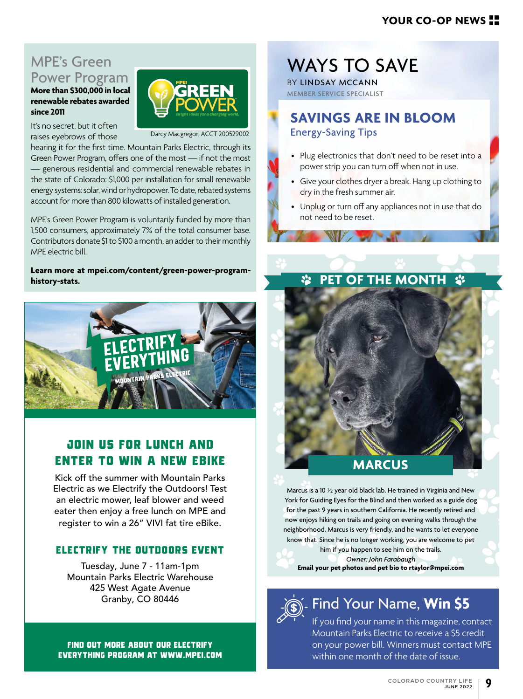### **YOUR CO-OP NEWS**

## MPE's Green Power Program

**More than \$300,000 in local renewable rebates awarded since 2011**

It's no secret, but it often raises eyebrows of those

Darcy Macgregor, ACCT 200529002

hearing it for the first time. Mountain Parks Electric, through its Green Power Program, offers one of the most — if not the most — generous residential and commercial renewable rebates in the state of Colorado: \$1,000 per installation for small renewable energy systems: solar, wind or hydropower. To date, rebated systems account for more than 800 kilowatts of installed generation.

MPE's Green Power Program is voluntarily funded by more than 1,500 consumers, approximately 7% of the total consumer base. Contributors donate \$1 to \$100 a month, an adder to their monthly MPE electric bill.

**Learn more at mpei.com/content/green-power-programhistory-stats.**



### **JOIN US FOR LUNCH AND ENTER TO WIN A NEW EBIKE**

Kick off the summer with Mountain Parks Electric as we Electrify the Outdoors! Test an electric mower, leaf blower and weed eater then enjoy a free lunch on MPE and register to win a 26" VIVI fat tire eBike.

### **ELECTRIFY THE OUTDOORS EVENT**

Tuesday, June 7 - 11am-1pm Mountain Parks Electric Warehouse 425 West Agate Avenue Granby, CO 80446

**FIND OUT MORE ABOUT OUR ELECTRIFY EVERYTHING PROGRAM AT WWW.MPEI.COM**

## WAYS TO SAVE

BY LINDSAY MCCANN MEMBER SERVICE SPECIALIST

## **SAVINGS ARE IN BLOOM**  Energy-Saving Tips

- Plug electronics that don't need to be reset into a power strip you can turn off when not in use.
- Give your clothes dryer a break. Hang up clothing to dry in the fresh summer air.
- Unplug or turn off any appliances not in use that do not need to be reset.

## *S* PET OF THE MONTH  $\dot{x}$

## **MARCUS**

Marcus is a 10 ½ year old black lab. He trained in Virginia and New York for Guiding Eyes for the Blind and then worked as a guide dog for the past 9 years in southern California. He recently retired and now enjoys hiking on trails and going on evening walks through the neighborhood. Marcus is very friendly, and he wants to let everyone know that. Since he is no longer working, you are welcome to pet

him if you happen to see him on the trails. *Owner: John Farabaugh* **Email your pet photos and pet bio to rtaylor@mpei.com**



## Find Your Name, **Win \$5**

If you find your name in this magazine, contact Mountain Parks Electric to receive a \$5 credit on your power bill. Winners must contact MPE within one month of the date of issue.